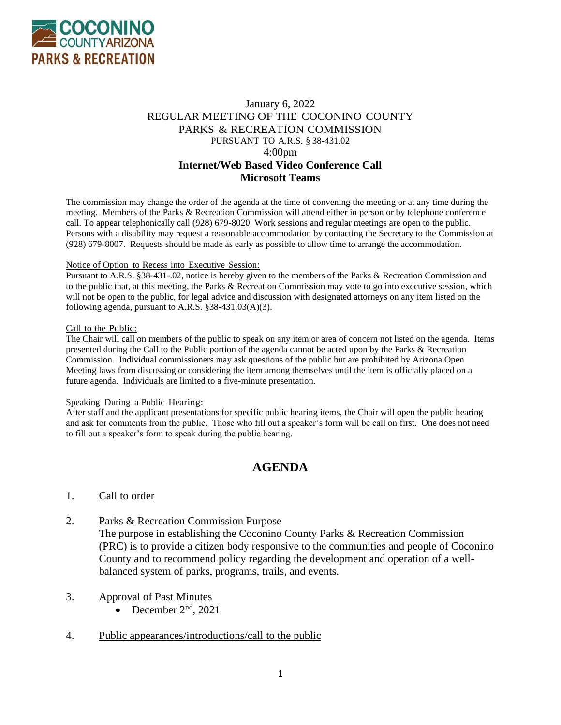

## January 6, 2022 REGULAR MEETING OF THE COCONINO COUNTY PARKS & RECREATION COMMISSION PURSUANT TO A.R.S. § 38-431.02 4:00pm **Internet/Web Based Video Conference Call Microsoft Teams**

The commission may change the order of the agenda at the time of convening the meeting or at any time during the meeting. Members of the Parks & Recreation Commission will attend either in person or by telephone conference call. To appear telephonically call (928) 679-8020. Work sessions and regular meetings are open to the public. Persons with a disability may request a reasonable accommodation by contacting the Secretary to the Commission at (928) 679-8007. Requests should be made as early as possible to allow time to arrange the accommodation.

#### Notice of Option to Recess into Executive Session:

Pursuant to A.R.S. §38-431-.02, notice is hereby given to the members of the Parks & Recreation Commission and to the public that, at this meeting, the Parks & Recreation Commission may vote to go into executive session, which will not be open to the public, for legal advice and discussion with designated attorneys on any item listed on the following agenda, pursuant to A.R.S. §38-431.03(A)(3).

#### Call to the Public:

The Chair will call on members of the public to speak on any item or area of concern not listed on the agenda. Items presented during the Call to the Public portion of the agenda cannot be acted upon by the Parks & Recreation Commission. Individual commissioners may ask questions of the public but are prohibited by Arizona Open Meeting laws from discussing or considering the item among themselves until the item is officially placed on a future agenda. Individuals are limited to a five-minute presentation.

### Speaking During a Public Hearing:

After staff and the applicant presentations for specific public hearing items, the Chair will open the public hearing and ask for comments from the public. Those who fill out a speaker's form will be call on first. One does not need to fill out a speaker's form to speak during the public hearing.

# **AGENDA**

### 1. Call to order

2. Parks & Recreation Commission Purpose

The purpose in establishing the Coconino County Parks & Recreation Commission (PRC) is to provide a citizen body responsive to the communities and people of Coconino County and to recommend policy regarding the development and operation of a wellbalanced system of parks, programs, trails, and events.

### 3. Approval of Past Minutes

- December  $2<sup>nd</sup>$ , 2021
- 4. Public appearances/introductions/call to the public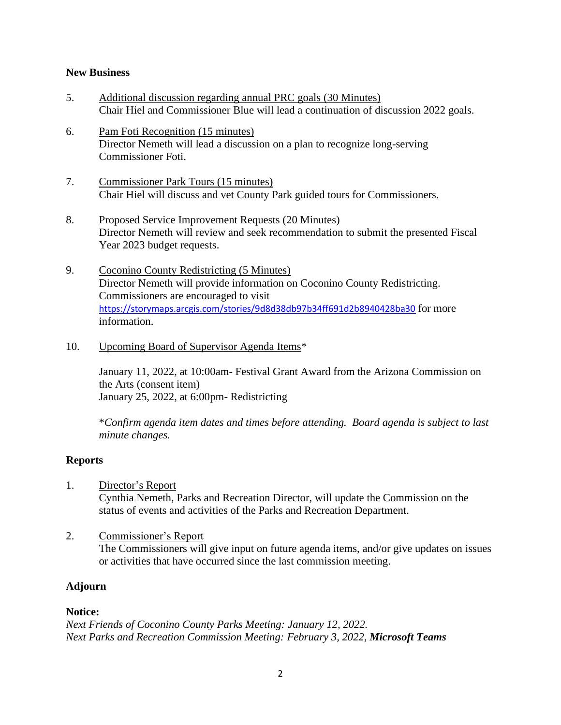## **New Business**

- 5. Additional discussion regarding annual PRC goals (30 Minutes) Chair Hiel and Commissioner Blue will lead a continuation of discussion 2022 goals.
- 6. Pam Foti Recognition (15 minutes) Director Nemeth will lead a discussion on a plan to recognize long-serving Commissioner Foti.
- 7. Commissioner Park Tours (15 minutes) Chair Hiel will discuss and vet County Park guided tours for Commissioners.
- 8. Proposed Service Improvement Requests (20 Minutes) Director Nemeth will review and seek recommendation to submit the presented Fiscal Year 2023 budget requests.
- 9. Coconino County Redistricting (5 Minutes) Director Nemeth will provide information on Coconino County Redistricting. Commissioners are encouraged to visit <https://storymaps.arcgis.com/stories/9d8d38db97b34ff691d2b8940428ba30> for more information.
- 10. Upcoming Board of Supervisor Agenda Items\*

January 11, 2022, at 10:00am- Festival Grant Award from the Arizona Commission on the Arts (consent item) January 25, 2022, at 6:00pm- Redistricting

\**Confirm agenda item dates and times before attending. Board agenda is subject to last minute changes.*

## **Reports**

1. Director's Report

Cynthia Nemeth, Parks and Recreation Director, will update the Commission on the status of events and activities of the Parks and Recreation Department.

2. Commissioner's Report The Commissioners will give input on future agenda items, and/or give updates on issues or activities that have occurred since the last commission meeting.

## **Adjourn**

## **Notice:**

*Next Friends of Coconino County Parks Meeting: January 12, 2022. Next Parks and Recreation Commission Meeting: February 3, 2022, Microsoft Teams*